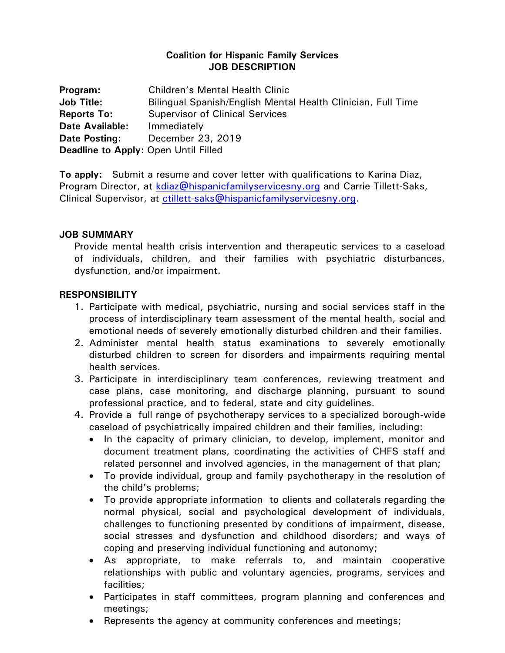## **Coalition for Hispanic Family Services JOB DESCRIPTION**

| Program:                                    | <b>Children's Mental Health Clinic</b>                       |
|---------------------------------------------|--------------------------------------------------------------|
| <b>Job Title:</b>                           | Bilingual Spanish/English Mental Health Clinician, Full Time |
| <b>Reports To:</b>                          | <b>Supervisor of Clinical Services</b>                       |
| <b>Date Available:</b>                      | Immediately                                                  |
| Date Posting:                               | December 23, 2019                                            |
| <b>Deadline to Apply: Open Until Filled</b> |                                                              |

**To apply:** Submit a resume and cover letter with qualifications to Karina Diaz, Program Director, at [kdiaz@hispanicfamilyservicesny.org](mailto:kdiaz@hispanicfamilyservicesny.org) and Carrie Tillett-Saks, Clinical Supervisor, at [ctillett-saks@hispanicfamilyservicesny.org.](mailto:ctillett-saks@hispanicfamilyservicesny.org)

## **JOB SUMMARY**

Provide mental health crisis intervention and therapeutic services to a caseload of individuals, children, and their families with psychiatric disturbances, dysfunction, and/or impairment.

## **RESPONSIBILITY**

- 1. Participate with medical, psychiatric, nursing and social services staff in the process of interdisciplinary team assessment of the mental health, social and emotional needs of severely emotionally disturbed children and their families.
- 2. Administer mental health status examinations to severely emotionally disturbed children to screen for disorders and impairments requiring mental health services.
- 3. Participate in interdisciplinary team conferences, reviewing treatment and case plans, case monitoring, and discharge planning, pursuant to sound professional practice, and to federal, state and city guidelines.
- 4. Provide a full range of psychotherapy services to a specialized borough-wide caseload of psychiatrically impaired children and their families, including:
	- In the capacity of primary clinician, to develop, implement, monitor and document treatment plans, coordinating the activities of CHFS staff and related personnel and involved agencies, in the management of that plan;
	- To provide individual, group and family psychotherapy in the resolution of the child's problems;
	- To provide appropriate information to clients and collaterals regarding the normal physical, social and psychological development of individuals, challenges to functioning presented by conditions of impairment, disease, social stresses and dysfunction and childhood disorders; and ways of coping and preserving individual functioning and autonomy;
	- As appropriate, to make referrals to, and maintain cooperative relationships with public and voluntary agencies, programs, services and facilities;
	- Participates in staff committees, program planning and conferences and meetings;
	- Represents the agency at community conferences and meetings;